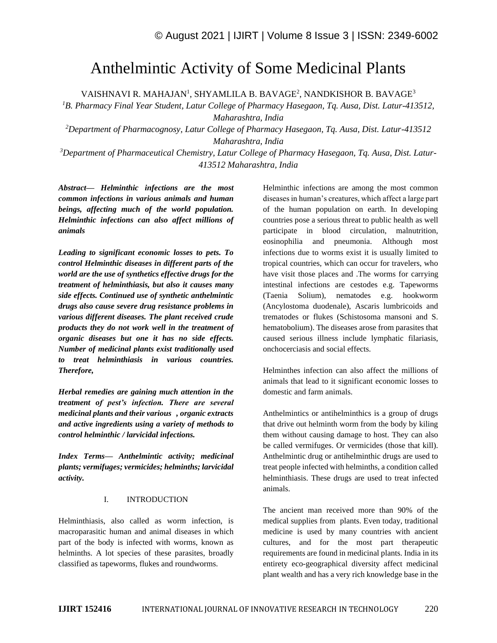# Anthelmintic Activity of Some Medicinal Plants

VAISHNAVI R. MAHAJAN<sup>1</sup>, SHYAMLILA B. BAVAGE<sup>2</sup>, NANDKISHOR B. BAVAGE<sup>3</sup>

*<sup>1</sup>B. Pharmacy Final Year Student, Latur College of Pharmacy Hasegaon, Tq. Ausa, Dist. Latur-413512, Maharashtra, India*

*<sup>2</sup>Department of Pharmacognosy, Latur College of Pharmacy Hasegaon, Tq. Ausa, Dist. Latur-413512 Maharashtra, India*

*<sup>3</sup>Department of Pharmaceutical Chemistry, Latur College of Pharmacy Hasegaon, Tq. Ausa, Dist. Latur-413512 Maharashtra, India*

*Abstract— Helminthic infections are the most common infections in various animals and human beings, affecting much of the world population. Helminthic infections can also affect millions of animals*

*Leading to significant economic losses to pets. To control Helminthic diseases in different parts of the world are the use of synthetics effective drugs for the treatment of helminthiasis, but also it causes many side effects. Continued use of synthetic anthelmintic drugs also cause severe drug resistance problems in various different diseases. The plant received crude products they do not work well in the treatment of organic diseases but one it has no side effects. Number of medicinal plants exist traditionally used to treat helminthiasis in various countries. Therefore,*

*Herbal remedies are gaining much attention in the treatment of pest's infection. There are several medicinal plants and their various , organic extracts and active ingredients using a variety of methods to control helminthic / larvicidal infections.*

*Index Terms— Anthelmintic activity; medicinal plants; vermifuges; vermicides; helminths; larvicidal activity.*

#### I. INTRODUCTION

Helminthiasis, also called as worm infection, is macroparasitic human and animal diseases in which part of the body is infected with worms, known as helminths. A lot species of these parasites, broadly classified as tapeworms, flukes and roundworms.

Helminthic infections are among the most common diseases in human's creatures, which affect a large part of the human population on earth. In developing countries pose a serious threat to public health as well participate in blood circulation, malnutrition, eosinophilia and pneumonia. Although most infections due to worms exist it is usually limited to tropical countries, which can occur for travelers, who have visit those places and .The worms for carrying intestinal infections are cestodes e.g. Tapeworms (Taenia Solium), nematodes e.g. hookworm (Ancylostoma duodenale), Ascaris lumbricoids and trematodes or flukes (Schistosoma mansoni and S. hematobolium). The diseases arose from parasites that caused serious illness include lymphatic filariasis, onchocerciasis and social effects.

Helminthes infection can also affect the millions of animals that lead to it significant economic losses to domestic and farm animals.

Anthelmintics or antihelminthics is a group of drugs that drive out helminth worm from the body by kiling them without causing damage to host. They can also be called vermifuges. Or vermicides (those that kill). Anthelmintic drug or antihelminthic drugs are used to treat people infected with helminths, a condition called helminthiasis. These drugs are used to treat infected animals.

The ancient man received more than 90% of the medical supplies from plants. Even today, traditional medicine is used by many countries with ancient cultures, and for the most part therapeutic requirements are found in medicinal plants. India in its entirety eco-geographical diversity affect medicinal plant wealth and has a very rich knowledge base in the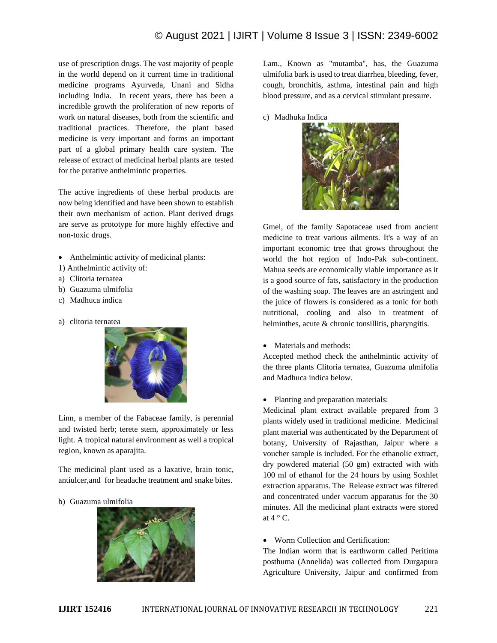use of prescription drugs. The vast majority of people in the world depend on it current time in traditional medicine programs Ayurveda, Unani and Sidha including India. In recent years, there has been a incredible growth the proliferation of new reports of work on natural diseases, both from the scientific and traditional practices. Therefore, the plant based medicine is very important and forms an important part of a global primary health care system. The release of extract of medicinal herbal plants are tested for the putative anthelmintic properties.

The active ingredients of these herbal products are now being identified and have been shown to establish their own mechanism of action. Plant derived drugs are serve as prototype for more highly effective and non-toxic drugs.

- Anthelmintic activity of medicinal plants:
- 1) Anthelmintic activity of:
- a) Clitoria ternatea
- b) Guazuma ulmifolia
- c) Madhuca indica
- a) clitoria ternatea



Linn, a member of the Fabaceae family, is perennial and twisted herb; terete stem, approximately or less light. A tropical natural environment as well a tropical region, known as aparajita.

The medicinal plant used as a laxative, brain tonic, antiulcer,and for headache treatment and snake bites.

b) Guazuma ulmifolia



Lam., Known as "mutamba", has, the Guazuma ulmifolia bark is used to treat diarrhea, bleeding, fever, cough, bronchitis, asthma, intestinal pain and high blood pressure, and as a cervical stimulant pressure.

c) Madhuka Indica



Gmel, of the family Sapotaceae used from ancient medicine to treat various ailments. It's a way of an important economic tree that grows throughout the world the hot region of Indo-Pak sub-continent. Mahua seeds are economically viable importance as it is a good source of fats, satisfactory in the production of the washing soap. The leaves are an astringent and the juice of flowers is considered as a tonic for both nutritional, cooling and also in treatment of helminthes, acute & chronic tonsillitis, pharyngitis.

• Materials and methods:

Accepted method check the anthelmintic activity of the three plants Clitoria ternatea, Guazuma ulmifolia and Madhuca indica below.

• Planting and preparation materials:

Medicinal plant extract available prepared from 3 plants widely used in traditional medicine. Medicinal plant material was authenticated by the Department of botany, University of Rajasthan, Jaipur where a voucher sample is included. For the ethanolic extract, dry powdered material (50 gm) extracted with with 100 ml of ethanol for the 24 hours by using Soxhlet extraction apparatus. The Release extract was filtered and concentrated under vaccum apparatus for the 30 minutes. All the medicinal plant extracts were stored at  $4 \circ C$ .

• Worm Collection and Certification:

The Indian worm that is earthworm called Peritima posthuma (Annelida) was collected from Durgapura Agriculture University, Jaipur and confirmed from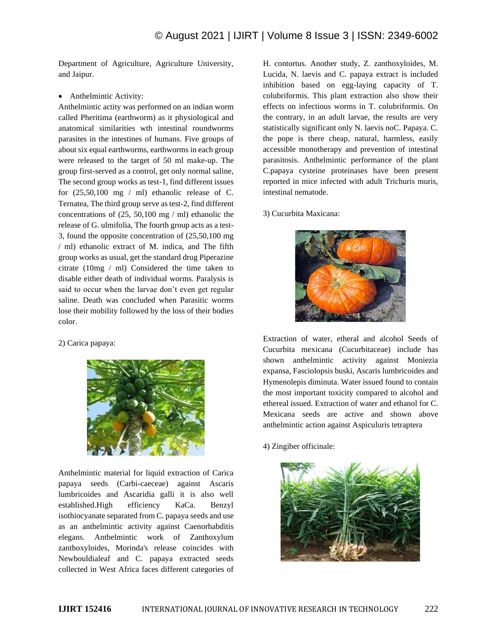Department of Agriculture, Agriculture University, and Jaipur.

• Anthelmintic Activity:

Anthelmintic actity was performed on an indian worm called Pheritima (earthworm) as it physiological and anatomical similarities wth intestinal roundworms parasites in the intestines of humans. Five groups of about six equal earthworms, earthworms in each group were released to the target of 50 ml make-up. The group first-served as a control, get only normal saline, The second group works as test-1, find different issues for  $(25,50,100 \text{ mg} / \text{ml})$  ethanolic release of C. Ternatea, The third group serve as test-2, find different concentrations of (25, 50,100 mg / ml) ethanolic the release of G. ulmifolia, The fourth group acts as a test-3, found the opposite concentration of (25,50,100 mg / ml) ethanolic extract of M. indica, and The fifth group works as usual, get the standard drug Piperazine citrate (10mg / ml) Considered the time taken to disable either death of individual worms. Paralysis is said to occur when the larvae don't even get regular saline. Death was concluded when Parasitic worms lose their mobility followed by the loss of their bodies color.

## 2) Carica papaya:



Anthelmintic material for liquid extraction of Carica papaya seeds (Carbi-caeceae) against Ascaris lumbricoides and Ascaridia galli it is also well established.High efficiency KaCa. Benzyl isothiocyanate separated from C. papaya seeds and use as an anthelmintic activity against Caenorhabditis elegans. Anthelmintic work of Zanthoxylum zanthoxyloides, Morinda's release coincides with Newbouldialeaf and C. papaya extracted seeds collected in West Africa faces different categories of

H. contortus. Another study, Z. zanthoxyloides, M. Lucida, N. laevis and C. papaya extract is included inhibition based on egg-laying capacity of T. colubriformis. This plant extraction also show their effects on infectious worms in T. colubriformis. On the contrary, in an adult larvae, the results are very statistically significant only N. laevis noC. Papaya. C. the pope is there cheap, natural, harmless, easily accessible monotherapy and prevention of intestinal parasitosis. Anthelmintic performance of the plant C.papaya cysteine proteinases have been present reported in mice infected with adult Trichuris muris, intestinal nematode.

## 3) Cucurbita Maxicana:



Extraction of water, etheral and alcohol Seeds of Cucurbita mexicana (Cucurbitaceae) include has shown anthelmintic activity against Moniezia expansa, Fasciolopsis buski, Ascaris lumbricoides and Hymenolepis diminuta. Water issued found to contain the most important toxicity compared to alcohol and ethereal issued. Extraction of water and ethanol for C. Mexicana seeds are active and shown above anthelmintic action against Aspiculuris tetraptera

4) Zingiber officinale:

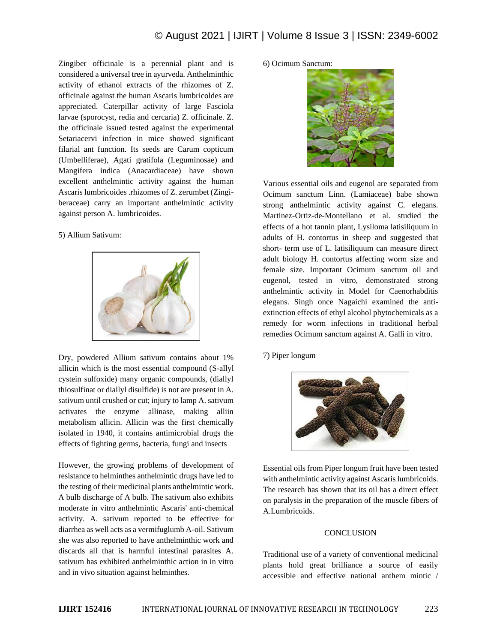Zingiber officinale is a perennial plant and is considered a universal tree in ayurveda. Anthelminthic activity of ethanol extracts of the rhizomes of Z. officinale against the human Ascaris lumbricoldes are appreciated. Caterpillar activity of large Fasciola larvae (sporocyst, redia and cercaria) Z. officinale. Z. the officinale issued tested against the experimental Setariacervi infection in mice showed significant filarial ant function. Its seeds are Carum copticum (Umbelliferae), Agati gratifola (Leguminosae) and Mangifera indica (Anacardiaceae) have shown excellent anthelmintic activity against the human Ascaris lumbricoides .rhizomes of Z. zerumbet (Zingiberaceae) carry an important anthelmintic activity against person A. lumbricoides.

## 5) Allium Sativum:



Dry, powdered Allium sativum contains about 1% allicin which is the most essential compound (S-allyl cystein sulfoxide) many organic compounds, (diallyl thiosulfinat or diallyl disulfide) is not are present in A. sativum until crushed or cut; injury to lamp A. sativum activates the enzyme allinase, making alliin metabolism allicin. Allicin was the first chemically isolated in 1940, it contains antimicrobial drugs the effects of fighting germs, bacteria, fungi and insects

However, the growing problems of development of resistance to helminthes anthelmintic drugs have led to the testing of their medicinal plants anthelmintic work. A bulb discharge of A bulb. The sativum also exhibits moderate in vitro anthelmintic Ascaris' anti-chemical activity. A. sativum reported to be effective for diarrhea as well acts as a vermifuglumb A-oil. Sativum she was also reported to have anthelminthic work and discards all that is harmful intestinal parasites A. sativum has exhibited anthelminthic action in in vitro and in vivo situation against helminthes.

# 6) Ocimum Sanctum:



Various essential oils and eugenol are separated from Ocimum sanctum Linn. (Lamiaceae) babe shown strong anthelmintic activity against C. elegans. Martinez-Ortiz-de-Montellano et al. studied the effects of a hot tannin plant, Lysiloma latisiliquum in adults of H. contortus in sheep and suggested that short- term use of L. latisiliquum can measure direct adult biology H. contortus affecting worm size and female size. Important Ocimum sanctum oil and eugenol, tested in vitro, demonstrated strong anthelmintic activity in Model for Caenorhabditis elegans. Singh once Nagaichi examined the antiextinction effects of ethyl alcohol phytochemicals as a remedy for worm infections in traditional herbal remedies Ocimum sanctum against A. Galli in vitro.

7) Piper longum



Essential oils from Piper longum fruit have been tested with anthelmintic activity against Ascaris lumbricoids. The research has shown that its oil has a direct effect on paralysis in the preparation of the muscle fibers of A.Lumbricoids.

# **CONCLUSION**

Traditional use of a variety of conventional medicinal plants hold great brilliance a source of easily accessible and effective national anthem mintic /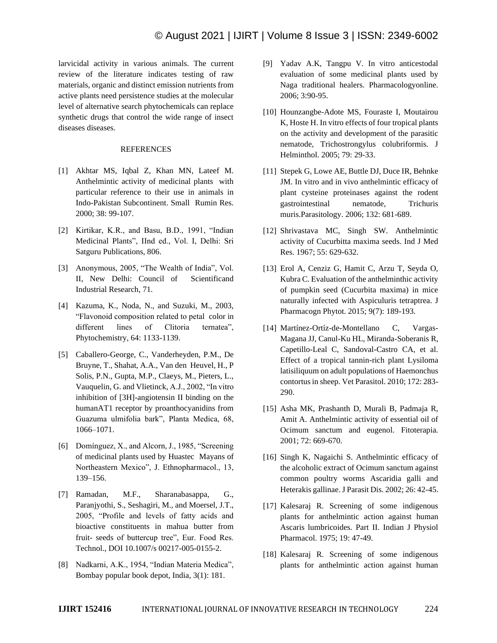larvicidal activity in various animals. The current review of the literature indicates testing of raw materials, organic and distinct emission nutrients from active plants need persistence studies at the molecular level of alternative search phytochemicals can replace synthetic drugs that control the wide range of insect diseases diseases.

#### REFERENCES

- [1] Akhtar MS, Iqbal Z, Khan MN, Lateef M. Anthelmintic activity of medicinal plants with particular reference to their use in animals in Indo-Pakistan Subcontinent. Small Rumin Res. 2000; 38: 99-107.
- [2] Kirtikar, K.R., and Basu, B.D., 1991, "Indian Medicinal Plants", IInd ed., Vol. I, Delhi: Sri Satguru Publications, 806.
- [3] Anonymous, 2005, "The Wealth of India", Vol. II, New Delhi: Council of Scientificand Industrial Research, 71.
- [4] Kazuma, K., Noda, N., and Suzuki, M., 2003, "Flavonoid composition related to petal color in different lines of Clitoria ternatea", Phytochemistry, 64: 1133-1139.
- [5] Caballero-George, C., Vanderheyden, P.M., De Bruyne, T., Shahat, A.A., Van den Heuvel, H., P Solis, P.N., Gupta, M.P., Claeys, M., Pieters, L., Vauquelin, G. and Vlietinck, A.J., 2002, "In vitro inhibition of [3H]-angiotensin II binding on the humanAT1 receptor by proanthocyanidins from Guazuma ulmifolia bark", Planta Medica, 68, 1066–1071.
- [6] Domínguez, X., and Alcorn, J., 1985, "Screening of medicinal plants used by Huastec Mayans of Northeastern Mexico", J. Ethnopharmacol., 13, 139–156.
- [7] Ramadan, M.F., Sharanabasappa, G., Paranjyothi, S., Seshagiri, M., and Moersel, J.T., 2005, "Profile and levels of fatty acids and bioactive constituents in mahua butter from fruit- seeds of buttercup tree", Eur. Food Res. Technol., DOI 10.1007/s 00217-005-0155-2.
- [8] Nadkarni, A.K., 1954, "Indian Materia Medica", Bombay popular book depot, India, 3(1): 181.
- [9] Yadav A.K, Tangpu V. In vitro anticestodal evaluation of some medicinal plants used by Naga traditional healers. Pharmacologyonline. 2006; 3:90-95.
- [10] Hounzangbe-Adote MS, Fouraste I, Moutairou K, Hoste H. In vitro effects of four tropical plants on the activity and development of the parasitic nematode, Trichostrongylus colubriformis. J Helminthol. 2005; 79: 29-33.
- [11] Stepek G, Lowe AE, Buttle DJ, Duce IR, Behnke JM. In vitro and in vivo anthelmintic efficacy of plant cysteine proteinases against the rodent gastrointestinal nematode, Trichuris muris.Parasitology. 2006; 132: 681-689.
- [12] Shrivastava MC, Singh SW. Anthelmintic activity of Cucurbitta maxima seeds. Ind J Med Res. 1967; 55: 629-632.
- [13] Erol A, Cenziz G, Hamit C, Arzu T, Seyda O, Kubra C. Evaluation of the anthelminthic activity of pumpkin seed (Cucurbita maxima) in mice naturally infected with Aspiculuris tetraptrea. J Pharmacogn Phytot. 2015; 9(7): 189-193.
- [14] Martínez-Ortíz-de-Montellano C, Vargas-Magana JJ, Canul-Ku HL, Miranda-Soberanis R, Capetillo-Leal C, Sandoval-Castro CA, et al. Effect of a tropical tannin-rich plant Lysiloma latisiliquum on adult populations of Haemonchus contortus in sheep. Vet Parasitol. 2010; 172: 283- 290.
- [15] Asha MK, Prashanth D, Murali B, Padmaja R, Amit A. Anthelmintic activity of essential oil of Ocimum sanctum and eugenol. Fitoterapia. 2001; 72: 669-670.
- [16] Singh K, Nagaichi S. Anthelmintic efficacy of the alcoholic extract of Ocimum sanctum against common poultry worms Ascaridia galli and Heterakis gallinae. J Parasit Dis. 2002; 26: 42-45.
- [17] Kalesaraj R. Screening of some indigenous plants for anthelmintic action against human Ascaris lumbricoides. Part II. Indian J Physiol Pharmacol. 1975; 19: 47-49.
- [18] Kalesaraj R. Screening of some indigenous plants for anthelmintic action against human